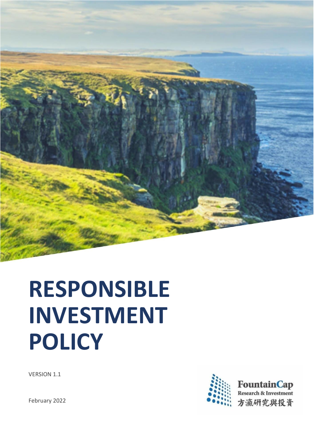

# **RESPONSIBLE INVESTMENT POLICY**



VERSION 1.1

February 2022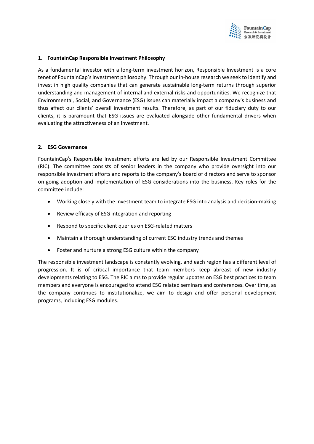

#### **1. FountainCap Responsible Investment Philosophy**

As a fundamental investor with a long-term investment horizon, Responsible Investment is a core tenet of FountainCap'sinvestment philosophy. Through our in-house research we seek to identify and invest in high quality companies that can generate sustainable long-term returns through superior understanding and management of internal and external risks and opportunities. We recognize that Environmental, Social, and Governance (ESG) issues can materially impact a company's business and thus affect our clients' overall investment results. Therefore, as part of our fiduciary duty to our clients, it is paramount that ESG issues are evaluated alongside other fundamental drivers when evaluating the attractiveness of an investment.

#### **2. ESG Governance**

FountainCap's Responsible Investment efforts are led by our Responsible Investment Committee (RIC). The committee consists of senior leaders in the company who provide oversight into our responsible investment efforts and reports to the company's board of directors and serve to sponsor on-going adoption and implementation of ESG considerations into the business. Key roles for the committee include:

- Working closely with the investment team to integrate ESG into analysis and decision-making
- Review efficacy of ESG integration and reporting
- Respond to specific client queries on ESG-related matters
- Maintain a thorough understanding of current ESG industry trends and themes
- Foster and nurture a strong ESG culture within the company

The responsible investment landscape is constantly evolving, and each region has a different level of progression. It is of critical importance that team members keep abreast of new industry developments relating to ESG. The RIC aims to provide regular updates on ESG best practices to team members and everyone is encouraged to attend ESG related seminars and conferences. Over time, as the company continues to institutionalize, we aim to design and offer personal development programs, including ESG modules.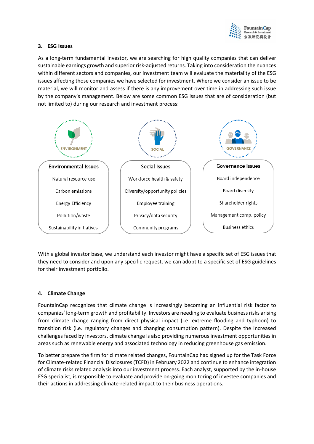

### **3. ESG Issues**

As a long-term fundamental investor, we are searching for high quality companies that can deliver sustainable earnings growth and superior risk-adjusted returns. Taking into consideration the nuances within different sectors and companies, our investment team will evaluate the materiality of the ESG issues affecting those companies we have selected for investment. Where we consider an issue to be material, we will monitor and assess if there is any improvement over time in addressing such issue by the company's management. Below are some common ESG issues that are of consideration (but not limited to) during our research and investment process:



With a global investor base, we understand each investor might have a specific set of ESG issues that they need to consider and upon any specific request, we can adopt to a specific set of ESG guidelines for their investment portfolio.

# **4. Climate Change**

FountainCap recognizes that climate change is increasingly becoming an influential risk factor to companies' long-term growth and profitability. Investors are needing to evaluate business risks arising from climate change ranging from direct physical impact (i.e. extreme flooding and typhoon) to transition risk (i.e. regulatory changes and changing consumption pattern). Despite the increased challenges faced by investors, climate change is also providing numerous investment opportunities in areas such as renewable energy and associated technology in reducing greenhouse gas emission.

To better prepare the firm for climate related changes, FountainCap had signed up for the Task Force for Climate-related Financial Disclosures(TCFD) in February 2022 and continue to enhance integration of climate risks related analysis into our investment process. Each analyst, supported by the in-house ESG specialist, is responsible to evaluate and provide on-going monitoring of investee companies and their actions in addressing climate-related impact to their business operations.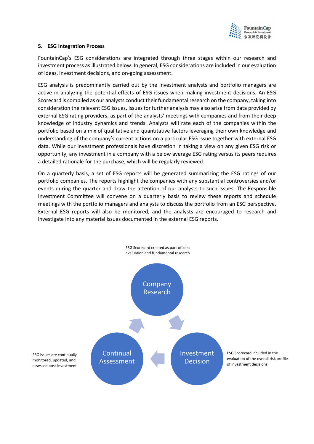

### **5. ESG Integration Process**

FountainCap's ESG considerations are integrated through three stages within our research and investment process as illustrated below. In general, ESG considerations are included in our evaluation of ideas, investment decisions, and on-going assessment.

ESG analysis is predominantly carried out by the investment analysts and portfolio managers are active in analyzing the potential effects of ESG issues when making investment decisions. An ESG Scorecard is compiled as our analysts conduct their fundamental research on the company, taking into consideration the relevant ESG issues. Issues for further analysis may also arise from data provided by external ESG rating providers, as part of the analysts' meetings with companies and from their deep knowledge of industry dynamics and trends. Analysts will rate each of the companies within the portfolio based on a mix of qualitative and quantitative factors leveraging their own knowledge and understanding of the company's current actions on a particular ESG issue together with external ESG data. While our investment professionals have discretion in taking a view on any given ESG risk or opportunity, any investment in a company with a below average ESG rating versus its peers requires a detailed rationale for the purchase, which will be regularly reviewed.

On a quarterly basis, a set of ESG reports will be generated summarizing the ESG ratings of our portfolio companies. The reports highlight the companies with any substantial controversies and/or events during the quarter and draw the attention of our analysts to such issues. The Responsible Investment Committee will convene on a quarterly basis to review these reports and schedule meetings with the portfolio managers and analysts to discuss the portfolio from an ESG perspective. External ESG reports will also be monitored, and the analysts are encouraged to research and investigate into any material issues documented in the external ESG reports.

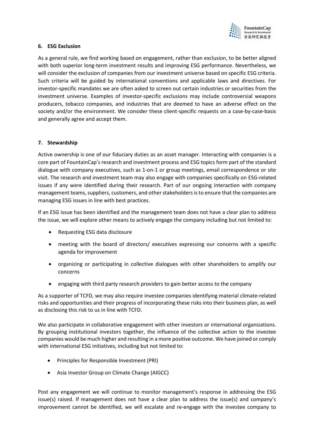

### **6. ESG Exclusion**

As a general rule, we find working based on engagement, rather than exclusion, to be better aligned with both superior long-term investment results and improving ESG performance. Nevertheless, we will consider the exclusion of companies from our investment universe based on specific ESG criteria. Such criteria will be guided by international conventions and applicable laws and directives. For investor-specific mandates we are often asked to screen out certain industries or securities from the investment universe. Examples of investor-specific exclusions may include controversial weapons producers, tobacco companies, and industries that are deemed to have an adverse effect on the society and/or the environment. We consider these client-specific requests on a case-by-case-basis and generally agree and accept them.

# **7. Stewardship**

Active ownership is one of our fiduciary duties as an asset manager. Interacting with companies is a core part of FountainCap's research and investment process and ESG topics form part of the standard dialogue with company executives, such as 1-on-1 or group meetings, email correspondence or site visit. The research and investment team may also engage with companies specifically on ESG-related issues if any were identified during their research. Part of our ongoing interaction with company management teams, suppliers, customers, and other stakeholders is to ensure that the companies are managing ESG issues in line with best practices.

If an ESG issue has been identified and the management team does not have a clear plan to address the issue, we will explore other means to actively engage the company including but not limited to:

- Requesting ESG data disclosure
- meeting with the board of directors/ executives expressing our concerns with a specific agenda for improvement
- organizing or participating in collective dialogues with other shareholders to amplify our concerns
- engaging with third party research providers to gain better access to the company

As a supporter of TCFD, we may also require investee companies identifying material climate-related risks and opportunities and their progress of incorporating these risks into their business plan, as well as disclosing this risk to us in line with TCFD.

We also participate in collaborative engagement with other investors or international organizations. By grouping institutional investors together, the influence of the collective action to the investee companies would be much higher and resulting in a more positive outcome. We have joined or comply with international ESG initiatives, including but not limited to:

- Principles for Responsible Investment (PRI)
- Asia Investor Group on Climate Change (AIGCC)

Post any engagement we will continue to monitor management's response in addressing the ESG issue(s) raised. If management does not have a clear plan to address the issue(s) and company's improvement cannot be identified, we will escalate and re-engage with the investee company to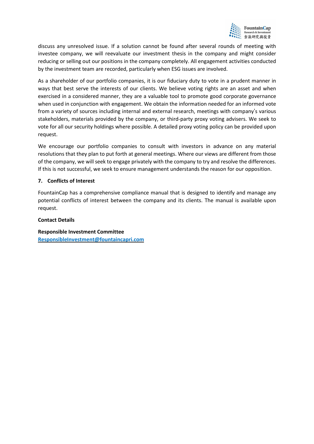

discuss any unresolved issue. If a solution cannot be found after several rounds of meeting with investee company, we will reevaluate our investment thesis in the company and might consider reducing or selling out our positions in the company completely. All engagement activities conducted by the investment team are recorded, particularly when ESG issues are involved.

As a shareholder of our portfolio companies, it is our fiduciary duty to vote in a prudent manner in ways that best serve the interests of our clients. We believe voting rights are an asset and when exercised in a considered manner, they are a valuable tool to promote good corporate governance when used in conjunction with engagement. We obtain the information needed for an informed vote from a variety of sources including internal and external research, meetings with company's various stakeholders, materials provided by the company, or third-party proxy voting advisers. We seek to vote for all our security holdings where possible. A detailed proxy voting policy can be provided upon request.

We encourage our portfolio companies to consult with investors in advance on any material resolutions that they plan to put forth at general meetings. Where our views are different from those of the company, we will seek to engage privately with the company to try and resolve the differences. If this is not successful, we seek to ensure management understands the reason for our opposition.

### **7. Conflicts of Interest**

FountainCap has a comprehensive compliance manual that is designed to identify and manage any potential conflicts of interest between the company and its clients. The manual is available upon request.

#### **Contact Details**

**Responsible Investment Committee [ResponsibleInvestment@fountaincapri.com](mailto:ResponsibleInvestment@fountaincapri.com)**